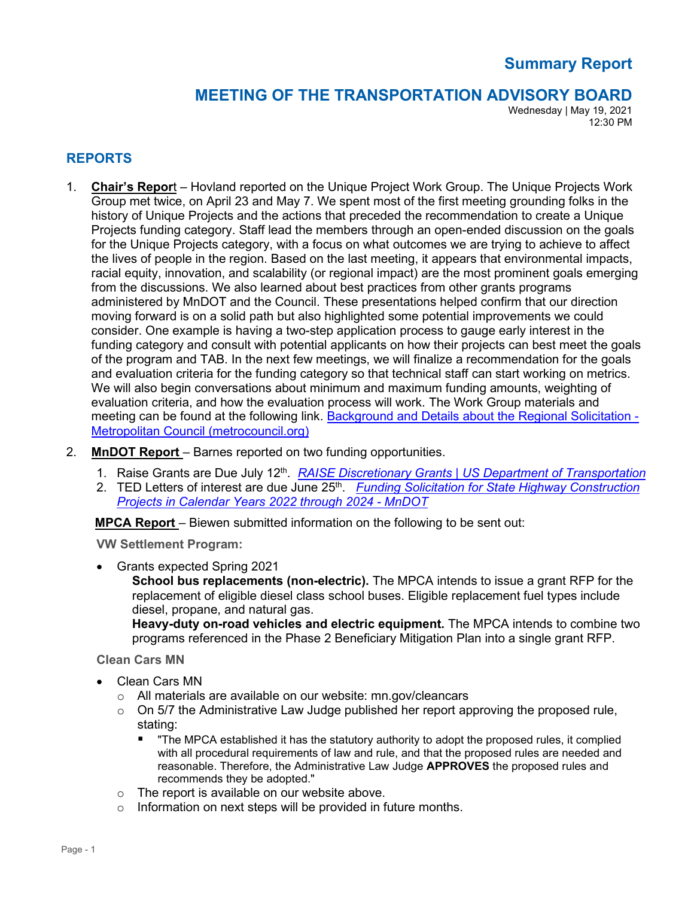# **Summary Report**

## **MEETING OF THE TRANSPORTATION ADVISORY BOARD**

Wednesday | May 19, 2021 12:30 PM

### **REPORTS**

1. **Chair's Repor**t – Hovland reported on the Unique Project Work Group. The Unique Projects Work Group met twice, on April 23 and May 7. We spent most of the first meeting grounding folks in the history of Unique Projects and the actions that preceded the recommendation to create a Unique Projects funding category. Staff lead the members through an open-ended discussion on the goals for the Unique Projects category, with a focus on what outcomes we are trying to achieve to affect the lives of people in the region. Based on the last meeting, it appears that environmental impacts, racial equity, innovation, and scalability (or regional impact) are the most prominent goals emerging from the discussions. We also learned about best practices from other grants programs administered by MnDOT and the Council. These presentations helped confirm that our direction moving forward is on a solid path but also highlighted some potential improvements we could consider. One example is having a two-step application process to gauge early interest in the funding category and consult with potential applicants on how their projects can best meet the goals of the program and TAB. In the next few meetings, we will finalize a recommendation for the goals and evaluation criteria for the funding category so that technical staff can start working on metrics. We will also begin conversations about minimum and maximum funding amounts, weighting of evaluation criteria, and how the evaluation process will work. The Work Group materials and meeting can be found at the following link. [Background and Details about the Regional Solicitation -](https://metrocouncil.org/Transportation/Planning-2/Transportation-Funding/Regional-Solicitation-NEW/Regional-Solicitation-Background-and-Details.aspx) [Metropolitan Council \(metrocouncil.org\)](https://metrocouncil.org/Transportation/Planning-2/Transportation-Funding/Regional-Solicitation-NEW/Regional-Solicitation-Background-and-Details.aspx)

#### 2. **MnDOT Report** – Barnes reported on two funding opportunities.

- 1. Raise Grants are Due July 12<sup>th</sup>. *[RAISE Discretionary Grants | US Department of Transportation](https://gcc02.safelinks.protection.outlook.com/?url=https%3A%2F%2Fwww.transportation.gov%2FRAISEgrants&data=04%7C01%7Celaine.koutsoukos%40metc.state.mn.us%7Cebc0f6dfcaf9466ee27208d91ad9bfae%7Cddbff68b482a457381e0fef8156a4fd0%7C0%7C0%7C637570344796467778%7CUnknown%7CTWFpbGZsb3d8eyJWIjoiMC4wLjAwMDAiLCJQIjoiV2luMzIiLCJBTiI6Ik1haWwiLCJXVCI6Mn0%3D%7C1000&sdata=rf%2Fdn8hu1U14HWIxh5lycKGggecQaQp%2BBEjFjGlPb5E%3D&reserved=0)*
- 2. TED Letters of interest are due June 25<sup>th</sup>. *Funding Solicitation for State Highway Construction [Projects in Calendar Years 2022 through 2024 -](https://gcc02.safelinks.protection.outlook.com/?url=http%3A%2F%2Fwww.dot.state.mn.us%2Ffunding%2Fted%2F2021-solicitation.html&data=04%7C01%7Celaine.koutsoukos%40metc.state.mn.us%7Cebc0f6dfcaf9466ee27208d91ad9bfae%7Cddbff68b482a457381e0fef8156a4fd0%7C0%7C0%7C637570344796477732%7CUnknown%7CTWFpbGZsb3d8eyJWIjoiMC4wLjAwMDAiLCJQIjoiV2luMzIiLCJBTiI6Ik1haWwiLCJXVCI6Mn0%3D%7C1000&sdata=HWb%2FeNhi8xhNWVBqu9hDPdtRXD4NYiAsD7%2FayUzqUGI%3D&reserved=0) MnDOT*

**MPCA Report** – Biewen submitted information on the following to be sent out:

**VW Settlement Program:**

• Grants expected Spring 2021

**School bus replacements (non-electric).** The MPCA intends to issue a grant RFP for the replacement of eligible diesel class school buses. Eligible replacement fuel types include diesel, propane, and natural gas.

**Heavy-duty on-road vehicles and electric equipment.** The MPCA intends to combine two programs referenced in the Phase 2 Beneficiary Mitigation Plan into a single grant RFP.

**Clean Cars MN**

- Clean Cars MN
	- o All materials are available on our website: mn.gov/cleancars
	- o On 5/7 the Administrative Law Judge published her report approving the proposed rule, stating:
		- "The MPCA established it has the statutory authority to adopt the proposed rules, it complied with all procedural requirements of law and rule, and that the proposed rules are needed and reasonable. Therefore, the Administrative Law Judge **APPROVES** the proposed rules and recommends they be adopted."
	- o The report is available on our website above.
	- o Information on next steps will be provided in future months.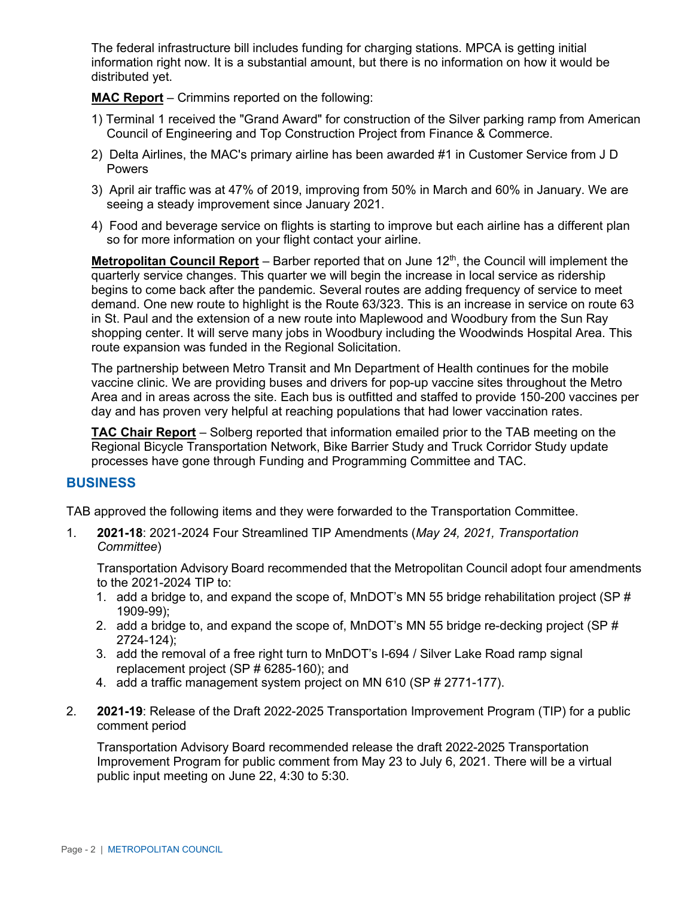The federal infrastructure bill includes funding for charging stations. MPCA is getting initial information right now. It is a substantial amount, but there is no information on how it would be distributed yet.

**MAC Report** – Crimmins reported on the following:

- 1) Terminal 1 received the "Grand Award" for construction of the Silver parking ramp from American Council of Engineering and Top Construction Project from Finance & Commerce.
- 2) Delta Airlines, the MAC's primary airline has been awarded #1 in Customer Service from J D Powers
- 3) April air traffic was at 47% of 2019, improving from 50% in March and 60% in January. We are seeing a steady improvement since January 2021.
- 4) Food and beverage service on flights is starting to improve but each airline has a different plan so for more information on your flight contact your airline.

**Metropolitan Council Report** – Barber reported that on June 12<sup>th</sup>, the Council will implement the quarterly service changes. This quarter we will begin the increase in local service as ridership begins to come back after the pandemic. Several routes are adding frequency of service to meet demand. One new route to highlight is the Route 63/323. This is an increase in service on route 63 in St. Paul and the extension of a new route into Maplewood and Woodbury from the Sun Ray shopping center. It will serve many jobs in Woodbury including the Woodwinds Hospital Area. This route expansion was funded in the Regional Solicitation.

The partnership between Metro Transit and Mn Department of Health continues for the mobile vaccine clinic. We are providing buses and drivers for pop-up vaccine sites throughout the Metro Area and in areas across the site. Each bus is outfitted and staffed to provide 150-200 vaccines per day and has proven very helpful at reaching populations that had lower vaccination rates.

**TAC Chair Report** – Solberg reported that information emailed prior to the TAB meeting on the Regional Bicycle Transportation Network, Bike Barrier Study and Truck Corridor Study update processes have gone through Funding and Programming Committee and TAC.

## **BUSINESS**

TAB approved the following items and they were forwarded to the Transportation Committee.

1. **2021-18**: 2021-2024 Four Streamlined TIP Amendments (*May 24, 2021, Transportation Committee*)

Transportation Advisory Board recommended that the Metropolitan Council adopt four amendments to the 2021-2024 TIP to:

- 1. add a bridge to, and expand the scope of, MnDOT's MN 55 bridge rehabilitation project (SP # 1909-99);
- 2. add a bridge to, and expand the scope of, MnDOT's MN 55 bridge re-decking project (SP # 2724-124);
- 3. add the removal of a free right turn to MnDOT's I-694 / Silver Lake Road ramp signal replacement project (SP # 6285-160); and
- 4. add a traffic management system project on MN 610 (SP # 2771-177).
- 2. **2021-19**: Release of the Draft 2022-2025 Transportation Improvement Program (TIP) for a public comment period

Transportation Advisory Board recommended release the draft 2022-2025 Transportation Improvement Program for public comment from May 23 to July 6, 2021. There will be a virtual public input meeting on June 22, 4:30 to 5:30.